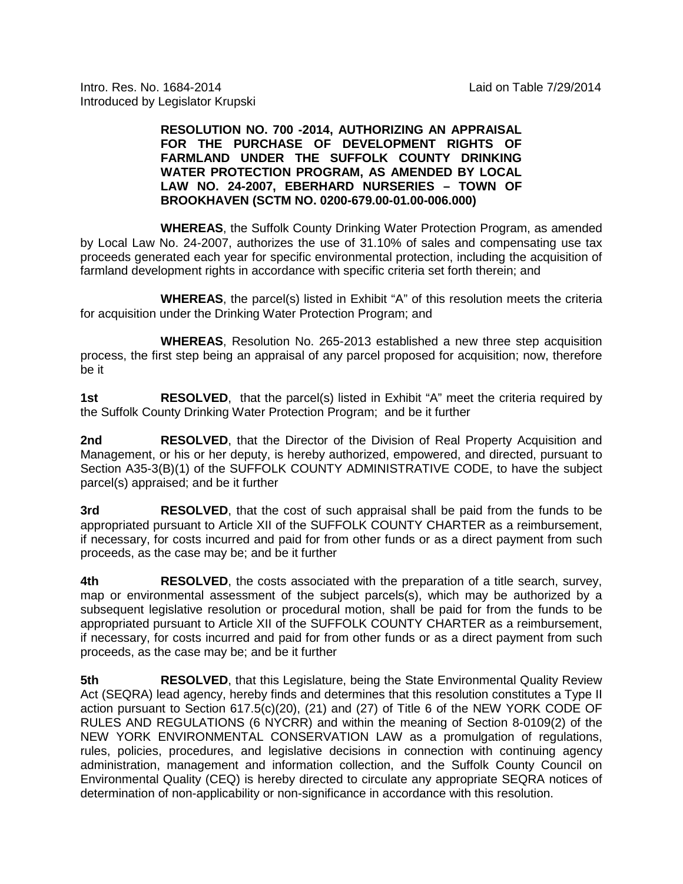Intro. Res. No. 1684-2014 Laid on Table 7/29/2014 Introduced by Legislator Krupski

## **RESOLUTION NO. 700 -2014, AUTHORIZING AN APPRAISAL FOR THE PURCHASE OF DEVELOPMENT RIGHTS OF FARMLAND UNDER THE SUFFOLK COUNTY DRINKING WATER PROTECTION PROGRAM, AS AMENDED BY LOCAL LAW NO. 24-2007, EBERHARD NURSERIES – TOWN OF BROOKHAVEN (SCTM NO. 0200-679.00-01.00-006.000)**

**WHEREAS**, the Suffolk County Drinking Water Protection Program, as amended by Local Law No. 24-2007, authorizes the use of 31.10% of sales and compensating use tax proceeds generated each year for specific environmental protection, including the acquisition of farmland development rights in accordance with specific criteria set forth therein; and

**WHEREAS**, the parcel(s) listed in Exhibit "A" of this resolution meets the criteria for acquisition under the Drinking Water Protection Program; and

**WHEREAS**, Resolution No. 265-2013 established a new three step acquisition process, the first step being an appraisal of any parcel proposed for acquisition; now, therefore be it

**1st RESOLVED**, that the parcel(s) listed in Exhibit "A" meet the criteria required by the Suffolk County Drinking Water Protection Program; and be it further

**2nd RESOLVED**, that the Director of the Division of Real Property Acquisition and Management, or his or her deputy, is hereby authorized, empowered, and directed, pursuant to Section A35-3(B)(1) of the SUFFOLK COUNTY ADMINISTRATIVE CODE, to have the subject parcel(s) appraised; and be it further

**3rd RESOLVED**, that the cost of such appraisal shall be paid from the funds to be appropriated pursuant to Article XII of the SUFFOLK COUNTY CHARTER as a reimbursement, if necessary, for costs incurred and paid for from other funds or as a direct payment from such proceeds, as the case may be; and be it further

**4th RESOLVED**, the costs associated with the preparation of a title search, survey, map or environmental assessment of the subject parcels(s), which may be authorized by a subsequent legislative resolution or procedural motion, shall be paid for from the funds to be appropriated pursuant to Article XII of the SUFFOLK COUNTY CHARTER as a reimbursement, if necessary, for costs incurred and paid for from other funds or as a direct payment from such proceeds, as the case may be; and be it further

**5th RESOLVED**, that this Legislature, being the State Environmental Quality Review Act (SEQRA) lead agency, hereby finds and determines that this resolution constitutes a Type II action pursuant to Section 617.5(c)(20), (21) and (27) of Title 6 of the NEW YORK CODE OF RULES AND REGULATIONS (6 NYCRR) and within the meaning of Section 8-0109(2) of the NEW YORK ENVIRONMENTAL CONSERVATION LAW as a promulgation of regulations, rules, policies, procedures, and legislative decisions in connection with continuing agency administration, management and information collection, and the Suffolk County Council on Environmental Quality (CEQ) is hereby directed to circulate any appropriate SEQRA notices of determination of non-applicability or non-significance in accordance with this resolution.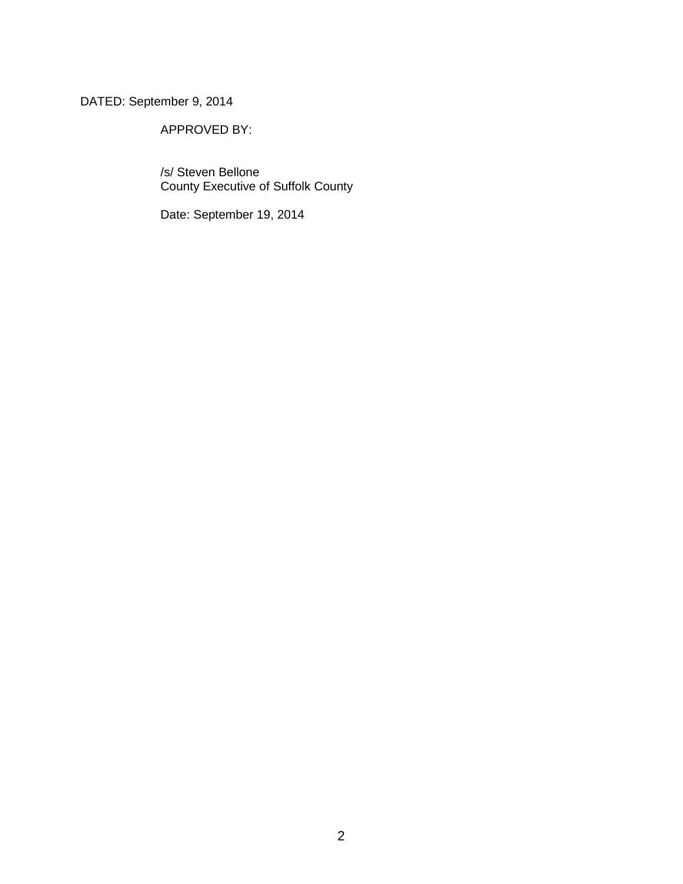DATED: September 9, 2014

## APPROVED BY:

/s/ Steven Bellone County Executive of Suffolk County

Date: September 19, 2014